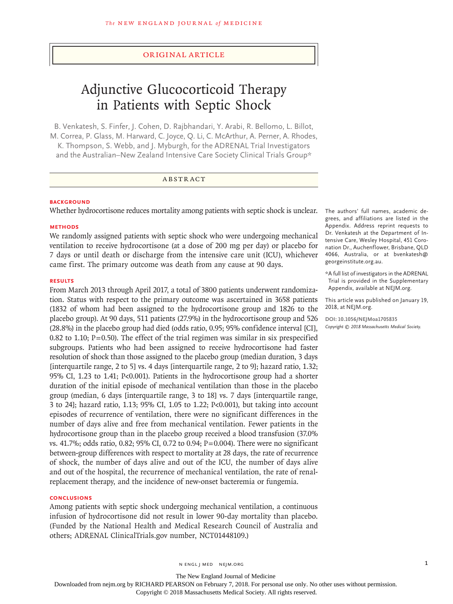# Original Article

# Adjunctive Glucocorticoid Therapy in Patients with Septic Shock

B. Venkatesh, S. Finfer, J. Cohen, D. Rajbhandari, Y. Arabi, R. Bellomo, L. Billot, M. Correa, P. Glass, M. Harward, C. Joyce, Q. Li, C. McArthur, A. Perner, A. Rhodes, K. Thompson, S. Webb, and J. Myburgh, for the ADRENAL Trial Investigators and the Australian–New Zealand Intensive Care Society Clinical Trials Group\*

# ABSTRACT

# **BACKGROUND**

Whether hydrocortisone reduces mortality among patients with septic shock is unclear.

## **METHODS**

We randomly assigned patients with septic shock who were undergoing mechanical ventilation to receive hydrocortisone (at a dose of 200 mg per day) or placebo for 7 days or until death or discharge from the intensive care unit (ICU), whichever came first. The primary outcome was death from any cause at 90 days.

## **RESULTS**

From March 2013 through April 2017, a total of 3800 patients underwent randomization. Status with respect to the primary outcome was ascertained in 3658 patients (1832 of whom had been assigned to the hydrocortisone group and 1826 to the placebo group). At 90 days, 511 patients (27.9%) in the hydrocortisone group and 526 (28.8%) in the placebo group had died (odds ratio, 0.95; 95% confidence interval [CI], 0.82 to 1.10;  $P=0.50$ ). The effect of the trial regimen was similar in six prespecified subgroups. Patients who had been assigned to receive hydrocortisone had faster resolution of shock than those assigned to the placebo group (median duration, 3 days [interquartile range, 2 to 5] vs. 4 days [interquartile range, 2 to 9]; hazard ratio, 1.32; 95% CI, 1.23 to 1.41; P<0.001). Patients in the hydrocortisone group had a shorter duration of the initial episode of mechanical ventilation than those in the placebo group (median, 6 days [interquartile range, 3 to 18] vs. 7 days [interquartile range, 3 to 24]; hazard ratio, 1.13; 95% CI, 1.05 to 1.22; P<0.001), but taking into account episodes of recurrence of ventilation, there were no significant differences in the number of days alive and free from mechanical ventilation. Fewer patients in the hydrocortisone group than in the placebo group received a blood transfusion (37.0% vs.  $41.7\%$ ; odds ratio, 0.82; 95% CI, 0.72 to 0.94; P=0.004). There were no significant between-group differences with respect to mortality at 28 days, the rate of recurrence of shock, the number of days alive and out of the ICU, the number of days alive and out of the hospital, the recurrence of mechanical ventilation, the rate of renalreplacement therapy, and the incidence of new-onset bacteremia or fungemia.

## **CONCLUSIONS**

Among patients with septic shock undergoing mechanical ventilation, a continuous infusion of hydrocortisone did not result in lower 90-day mortality than placebo. (Funded by the National Health and Medical Research Council of Australia and others; ADRENAL ClinicalTrials.gov number, NCT01448109.)

The authors' full names, academic degrees, and affiliations are listed in the Appendix. Address reprint requests to Dr. Venkatesh at the Department of Intensive Care, Wesley Hospital, 451 Coronation Dr., Auchenflower, Brisbane, QLD 4066, Australia, or at bvenkatesh@ georgeinstitute.org.au.

\*A full list of investigators in the ADRENAL Trial is provided in the Supplementary Appendix, available at NEJM.org.

This article was published on January 19, 2018, at NEJM.org.

**DOI: 10.1056/NEJMoa1705835** *Copyright © 2018 Massachusetts Medical Society.*

The New England Journal of Medicine

Downloaded from nejm.org by RICHARD PEARSON on February 7, 2018. For personal use only. No other uses without permission.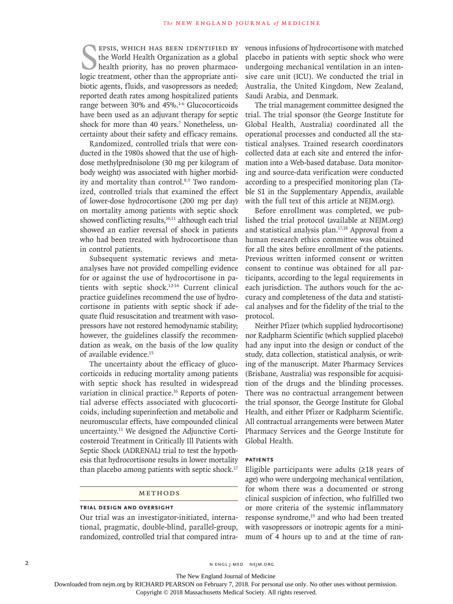EPSIS, WHICH HAS BEEN IDENTIFIED BY<br>the World Health Organization as a global<br>health priority, has no proven pharmaco-<br>logic treatment, other than the appropriate antiepsis, which has been identified by the World Health Organization as a global health priority, has no proven pharmacobiotic agents, fluids, and vasopressors as needed; reported death rates among hospitalized patients range between 30% and 45%.1-6 Glucocorticoids have been used as an adjuvant therapy for septic shock for more than 40 years.<sup>7</sup> Nonetheless, uncertainty about their safety and efficacy remains.

Randomized, controlled trials that were conducted in the 1980s showed that the use of highdose methylprednisolone (30 mg per kilogram of body weight) was associated with higher morbidity and mortality than control.<sup>8,9</sup> Two randomized, controlled trials that examined the effect of lower-dose hydrocortisone (200 mg per day) on mortality among patients with septic shock showed conflicting results, $10,11$  although each trial showed an earlier reversal of shock in patients who had been treated with hydrocortisone than in control patients.

Subsequent systematic reviews and metaanalyses have not provided compelling evidence for or against the use of hydrocortisone in patients with septic shock.12-14 Current clinical practice guidelines recommend the use of hydrocortisone in patients with septic shock if adequate fluid resuscitation and treatment with vasopressors have not restored hemodynamic stability; however, the guidelines classify the recommendation as weak, on the basis of the low quality of available evidence.15

The uncertainty about the efficacy of glucocorticoids in reducing mortality among patients with septic shock has resulted in widespread variation in clinical practice.<sup>16</sup> Reports of potential adverse effects associated with glucocorticoids, including superinfection and metabolic and neuromuscular effects, have compounded clinical uncertainty.11 We designed the Adjunctive Corticosteroid Treatment in Critically Ill Patients with Septic Shock (ADRENAL) trial to test the hypothesis that hydrocortisone results in lower mortality than placebo among patients with septic shock.<sup>17</sup>

# Methods

# **Trial Design and Oversight**

Our trial was an investigator-initiated, international, pragmatic, double-blind, parallel-group, randomized, controlled trial that compared intravenous infusions of hydrocortisone with matched placebo in patients with septic shock who were undergoing mechanical ventilation in an intensive care unit (ICU). We conducted the trial in Australia, the United Kingdom, New Zealand, Saudi Arabia, and Denmark.

The trial management committee designed the trial. The trial sponsor (the George Institute for Global Health, Australia) coordinated all the operational processes and conducted all the statistical analyses. Trained research coordinators collected data at each site and entered the information into a Web-based database. Data monitoring and source-data verification were conducted according to a prespecified monitoring plan (Table S1 in the Supplementary Appendix, available with the full text of this article at NEJM.org).

Before enrollment was completed, we published the trial protocol (available at NEJM.org) and statistical analysis plan.17,18 Approval from a human research ethics committee was obtained for all the sites before enrollment of the patients. Previous written informed consent or written consent to continue was obtained for all participants, according to the legal requirements in each jurisdiction. The authors vouch for the accuracy and completeness of the data and statistical analyses and for the fidelity of the trial to the protocol.

Neither Pfizer (which supplied hydrocortisone) nor Radpharm Scientific (which supplied placebo) had any input into the design or conduct of the study, data collection, statistical analysis, or writing of the manuscript. Mater Pharmacy Services (Brisbane, Australia) was responsible for acquisition of the drugs and the blinding processes. There was no contractual arrangement between the trial sponsor, the George Institute for Global Health, and either Pfizer or Radpharm Scientific. All contractual arrangements were between Mater Pharmacy Services and the George Institute for Global Health.

# **Patients**

Eligible participants were adults (≥18 years of age) who were undergoing mechanical ventilation, for whom there was a documented or strong clinical suspicion of infection, who fulfilled two or more criteria of the systemic inflammatory response syndrome,<sup>19</sup> and who had been treated with vasopressors or inotropic agents for a minimum of 4 hours up to and at the time of ran-

2 N ENGL J MED NEJM.ORG

The New England Journal of Medicine

Downloaded from nejm.org by RICHARD PEARSON on February 7, 2018. For personal use only. No other uses without permission.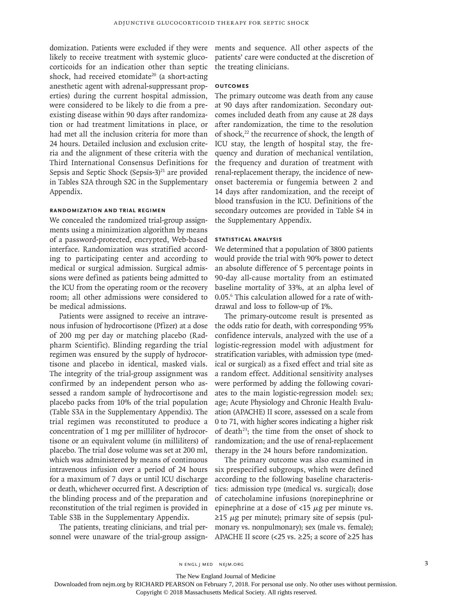domization. Patients were excluded if they were likely to receive treatment with systemic glucocorticoids for an indication other than septic shock, had received etomidate<sup>20</sup> (a short-acting anesthetic agent with adrenal-suppressant properties) during the current hospital admission, were considered to be likely to die from a preexisting disease within 90 days after randomization or had treatment limitations in place, or had met all the inclusion criteria for more than 24 hours. Detailed inclusion and exclusion criteria and the alignment of these criteria with the Third International Consensus Definitions for Sepsis and Septic Shock (Sepsis-3) $^{21}$  are provided in Tables S2A through S2C in the Supplementary Appendix.

# **Randomization and Trial Regimen**

We concealed the randomized trial-group assignments using a minimization algorithm by means of a password-protected, encrypted, Web-based interface. Randomization was stratified according to participating center and according to medical or surgical admission. Surgical admissions were defined as patients being admitted to the ICU from the operating room or the recovery room; all other admissions were considered to be medical admissions.

Patients were assigned to receive an intravenous infusion of hydrocortisone (Pfizer) at a dose of 200 mg per day or matching placebo (Radpharm Scientific). Blinding regarding the trial regimen was ensured by the supply of hydrocortisone and placebo in identical, masked vials. The integrity of the trial-group assignment was confirmed by an independent person who assessed a random sample of hydrocortisone and placebo packs from 10% of the trial population (Table S3A in the Supplementary Appendix). The trial regimen was reconstituted to produce a concentration of 1 mg per milliliter of hydrocortisone or an equivalent volume (in milliliters) of placebo. The trial dose volume was set at 200 ml, which was administered by means of continuous intravenous infusion over a period of 24 hours for a maximum of 7 days or until ICU discharge or death, whichever occurred first. A description of the blinding process and of the preparation and reconstitution of the trial regimen is provided in Table S3B in the Supplementary Appendix.

The patients, treating clinicians, and trial personnel were unaware of the trial-group assignments and sequence. All other aspects of the patients' care were conducted at the discretion of the treating clinicians.

# **Outcomes**

The primary outcome was death from any cause at 90 days after randomization. Secondary outcomes included death from any cause at 28 days after randomization, the time to the resolution of shock,<sup>22</sup> the recurrence of shock, the length of ICU stay, the length of hospital stay, the frequency and duration of mechanical ventilation, the frequency and duration of treatment with renal-replacement therapy, the incidence of newonset bacteremia or fungemia between 2 and 14 days after randomization, and the receipt of blood transfusion in the ICU. Definitions of the secondary outcomes are provided in Table S4 in the Supplementary Appendix.

# **Statistical Analysis**

We determined that a population of 3800 patients would provide the trial with 90% power to detect an absolute difference of 5 percentage points in 90-day all-cause mortality from an estimated baseline mortality of 33%, at an alpha level of 0.05.6 This calculation allowed for a rate of withdrawal and loss to follow-up of 1%.

The primary-outcome result is presented as the odds ratio for death, with corresponding 95% confidence intervals, analyzed with the use of a logistic-regression model with adjustment for stratification variables, with admission type (medical or surgical) as a fixed effect and trial site as a random effect. Additional sensitivity analyses were performed by adding the following covariates to the main logistic-regression model: sex; age; Acute Physiology and Chronic Health Evaluation (APACHE) II score, assessed on a scale from 0 to 71, with higher scores indicating a higher risk of death<sup>23</sup>; the time from the onset of shock to randomization; and the use of renal-replacement therapy in the 24 hours before randomization.

The primary outcome was also examined in six prespecified subgroups, which were defined according to the following baseline characteristics: admission type (medical vs. surgical); dose of catecholamine infusions (norepinephrine or epinephrine at a dose of  $\langle 15 \mu g \rangle$  per minute vs.  $\geq$ 15  $\mu$ g per minute); primary site of sepsis (pulmonary vs. nonpulmonary); sex (male vs. female); APACHE II score (<25 vs.  $\geq$ 25; a score of  $\geq$ 25 has

The New England Journal of Medicine

Downloaded from nejm.org by RICHARD PEARSON on February 7, 2018. For personal use only. No other uses without permission.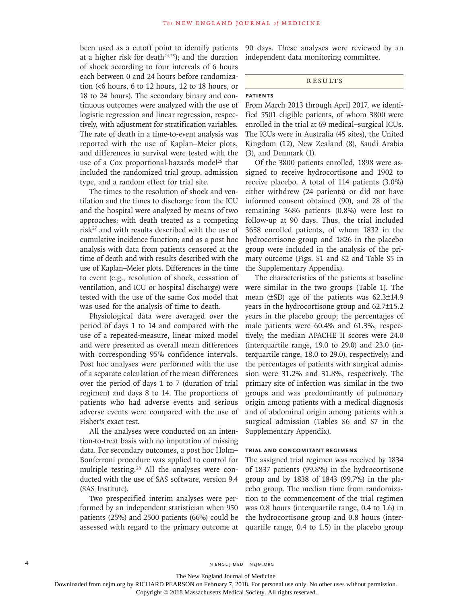been used as a cutoff point to identify patients at a higher risk for death $24,25$ ); and the duration of shock according to four intervals of 6 hours each between 0 and 24 hours before randomization (<6 hours, 6 to 12 hours, 12 to 18 hours, or 18 to 24 hours). The secondary binary and continuous outcomes were analyzed with the use of logistic regression and linear regression, respectively, with adjustment for stratification variables. The rate of death in a time-to-event analysis was reported with the use of Kaplan–Meier plots, and differences in survival were tested with the use of a Cox proportional-hazards model<sup>26</sup> that included the randomized trial group, admission type, and a random effect for trial site.

The times to the resolution of shock and ventilation and the times to discharge from the ICU and the hospital were analyzed by means of two approaches: with death treated as a competing risk27 and with results described with the use of cumulative incidence function; and as a post hoc analysis with data from patients censored at the time of death and with results described with the use of Kaplan–Meier plots. Differences in the time to event (e.g., resolution of shock, cessation of ventilation, and ICU or hospital discharge) were tested with the use of the same Cox model that was used for the analysis of time to death.

Physiological data were averaged over the period of days 1 to 14 and compared with the use of a repeated-measure, linear mixed model and were presented as overall mean differences with corresponding 95% confidence intervals. Post hoc analyses were performed with the use of a separate calculation of the mean differences over the period of days 1 to 7 (duration of trial regimen) and days 8 to 14. The proportions of patients who had adverse events and serious adverse events were compared with the use of Fisher's exact test.

All the analyses were conducted on an intention-to-treat basis with no imputation of missing data. For secondary outcomes, a post hoc Holm– Bonferroni procedure was applied to control for multiple testing.28 All the analyses were conducted with the use of SAS software, version 9.4 (SAS Institute).

Two prespecified interim analyses were performed by an independent statistician when 950 patients (25%) and 2500 patients (66%) could be assessed with regard to the primary outcome at 90 days. These analyses were reviewed by an independent data monitoring committee.

## **RESULTS**

### **Patients**

From March 2013 through April 2017, we identified 5501 eligible patients, of whom 3800 were enrolled in the trial at 69 medical–surgical ICUs. The ICUs were in Australia (45 sites), the United Kingdom (12), New Zealand (8), Saudi Arabia (3), and Denmark (1).

Of the 3800 patients enrolled, 1898 were assigned to receive hydrocortisone and 1902 to receive placebo. A total of 114 patients (3.0%) either withdrew (24 patients) or did not have informed consent obtained (90), and 28 of the remaining 3686 patients (0.8%) were lost to follow-up at 90 days. Thus, the trial included 3658 enrolled patients, of whom 1832 in the hydrocortisone group and 1826 in the placebo group were included in the analysis of the primary outcome (Figs. S1 and S2 and Table S5 in the Supplementary Appendix).

The characteristics of the patients at baseline were similar in the two groups (Table 1). The mean (±SD) age of the patients was 62.3±14.9 years in the hydrocortisone group and 62.7±15.2 years in the placebo group; the percentages of male patients were 60.4% and 61.3%, respectively; the median APACHE II scores were 24.0 (interquartile range, 19.0 to 29.0) and 23.0 (interquartile range, 18.0 to 29.0), respectively; and the percentages of patients with surgical admission were 31.2% and 31.8%, respectively. The primary site of infection was similar in the two groups and was predominantly of pulmonary origin among patients with a medical diagnosis and of abdominal origin among patients with a surgical admission (Tables S6 and S7 in the Supplementary Appendix).

# **Trial and Concomitant Regimens**

The assigned trial regimen was received by 1834 of 1837 patients (99.8%) in the hydrocortisone group and by 1838 of 1843 (99.7%) in the placebo group. The median time from randomization to the commencement of the trial regimen was 0.8 hours (interquartile range, 0.4 to 1.6) in the hydrocortisone group and 0.8 hours (interquartile range, 0.4 to 1.5) in the placebo group

The New England Journal of Medicine

Downloaded from nejm.org by RICHARD PEARSON on February 7, 2018. For personal use only. No other uses without permission.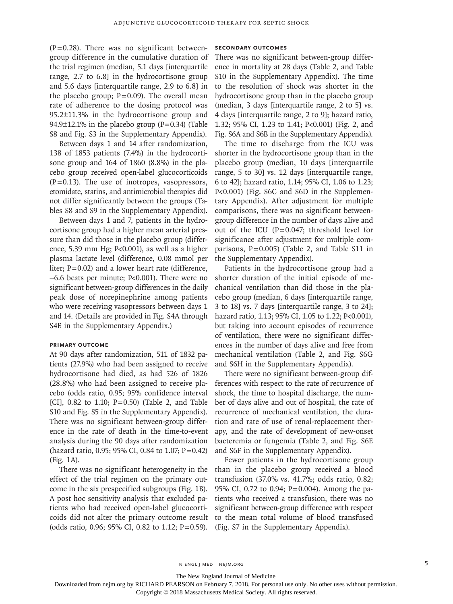$(P=0.28)$ . There was no significant betweengroup difference in the cumulative duration of the trial regimen (median, 5.1 days [interquartile range, 2.7 to 6.8] in the hydrocortisone group and 5.6 days [interquartile range, 2.9 to 6.8] in the placebo group;  $P=0.09$ ). The overall mean rate of adherence to the dosing protocol was 95.2±11.3% in the hydrocortisone group and 94.9 $\pm$ 12.1% in the placebo group (P=0.34) (Table S8 and Fig. S3 in the Supplementary Appendix).

Between days 1 and 14 after randomization, 138 of 1853 patients (7.4%) in the hydrocortisone group and 164 of 1860 (8.8%) in the placebo group received open-label glucocorticoids  $(P=0.13)$ . The use of inotropes, vasopressors, etomidate, statins, and antimicrobial therapies did not differ significantly between the groups (Tables S8 and S9 in the Supplementary Appendix).

Between days 1 and 7, patients in the hydrocortisone group had a higher mean arterial pressure than did those in the placebo group (difference, 5.39 mm Hg; P<0.001), as well as a higher plasma lactate level (difference, 0.08 mmol per liter; P=0.02) and a lower heart rate (difference, −6.6 beats per minute; P<0.001). There were no significant between-group differences in the daily peak dose of norepinephrine among patients who were receiving vasopressors between days 1 and 14. (Details are provided in Fig. S4A through S4E in the Supplementary Appendix.)

# **Primary Outcome**

At 90 days after randomization, 511 of 1832 patients (27.9%) who had been assigned to receive hydrocortisone had died, as had 526 of 1826 (28.8%) who had been assigned to receive placebo (odds ratio, 0.95; 95% confidence interval [CI], 0.82 to 1.10; P=0.50) (Table 2, and Table S10 and Fig. S5 in the Supplementary Appendix). There was no significant between-group difference in the rate of death in the time-to-event analysis during the 90 days after randomization (hazard ratio, 0.95; 95% CI, 0.84 to 1.07;  $P = 0.42$ ) (Fig. 1A).

There was no significant heterogeneity in the effect of the trial regimen on the primary outcome in the six prespecified subgroups (Fig. 1B). A post hoc sensitivity analysis that excluded patients who had received open-label glucocorticoids did not alter the primary outcome result (odds ratio, 0.96; 95% CI, 0.82 to 1.12; P=0.59).

# **Secondary Outcomes**

There was no significant between-group difference in mortality at 28 days (Table 2, and Table S10 in the Supplementary Appendix). The time to the resolution of shock was shorter in the hydrocortisone group than in the placebo group (median, 3 days [interquartile range, 2 to 5] vs. 4 days [interquartile range, 2 to 9]; hazard ratio, 1.32; 95% CI, 1.23 to 1.41; P<0.001) (Fig. 2, and Fig. S6A and S6B in the Supplementary Appendix).

The time to discharge from the ICU was shorter in the hydrocortisone group than in the placebo group (median, 10 days [interquartile range, 5 to 30] vs. 12 days [interquartile range, 6 to 42]; hazard ratio, 1.14; 95% CI, 1.06 to 1.23; P<0.001) (Fig. S6C and S6D in the Supplementary Appendix). After adjustment for multiple comparisons, there was no significant betweengroup difference in the number of days alive and out of the ICU ( $P=0.047$ ; threshold level for significance after adjustment for multiple comparisons, P=0.005) (Table 2, and Table S11 in the Supplementary Appendix).

Patients in the hydrocortisone group had a shorter duration of the initial episode of mechanical ventilation than did those in the placebo group (median, 6 days [interquartile range, 3 to 18] vs. 7 days [interquartile range, 3 to 24]; hazard ratio, 1.13; 95% CI, 1.05 to 1.22; P<0.001), but taking into account episodes of recurrence of ventilation, there were no significant differences in the number of days alive and free from mechanical ventilation (Table 2, and Fig. S6G and S6H in the Supplementary Appendix).

There were no significant between-group differences with respect to the rate of recurrence of shock, the time to hospital discharge, the number of days alive and out of hospital, the rate of recurrence of mechanical ventilation, the duration and rate of use of renal-replacement therapy, and the rate of development of new-onset bacteremia or fungemia (Table 2, and Fig. S6E and S6F in the Supplementary Appendix).

Fewer patients in the hydrocortisone group than in the placebo group received a blood transfusion (37.0% vs. 41.7%; odds ratio, 0.82; 95% CI, 0.72 to 0.94; P=0.004). Among the patients who received a transfusion, there was no significant between-group difference with respect to the mean total volume of blood transfused (Fig. S7 in the Supplementary Appendix).

n engl j med nejm.org 5

The New England Journal of Medicine

Downloaded from nejm.org by RICHARD PEARSON on February 7, 2018. For personal use only. No other uses without permission.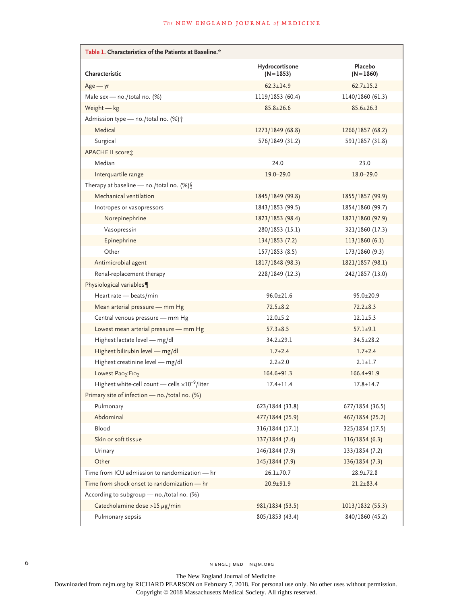| Table 1. Characteristics of the Patients at Baseline.*   |                                |                         |
|----------------------------------------------------------|--------------------------------|-------------------------|
| Characteristic                                           | Hydrocortisone<br>$(N = 1853)$ | Placebo<br>$(N = 1860)$ |
| $Age - yr$                                               | $62.3 + 14.9$                  | $62.7 \pm 15.2$         |
| Male sex - no./total no. (%)                             | 1119/1853 (60.4)               | 1140/1860 (61.3)        |
| Weight - kg                                              | $85.8 \pm 26.6$                | $85.6 \pm 26.3$         |
| Admission type - no./total no. (%) +                     |                                |                         |
| Medical                                                  | 1273/1849 (68.8)               | 1266/1857 (68.2)        |
| Surgical                                                 | 576/1849 (31.2)                | 591/1857 (31.8)         |
| APACHE II score:                                         |                                |                         |
| Median                                                   | 24.0                           | 23.0                    |
| Interquartile range                                      | $19.0 - 29.0$                  | $18.0 - 29.0$           |
| Therapy at baseline - no./total no. (%) $\[ \$           |                                |                         |
| Mechanical ventilation                                   | 1845/1849 (99.8)               | 1855/1857 (99.9)        |
| Inotropes or vasopressors                                | 1843/1853 (99.5)               | 1854/1860 (99.7)        |
| Norepinephrine                                           | 1823/1853 (98.4)               | 1821/1860 (97.9)        |
| Vasopressin                                              | 280/1853 (15.1)                | 321/1860 (17.3)         |
| Epinephrine                                              | 134/1853(7.2)                  | 113/1860(6.1)           |
| Other                                                    | 157/1853(8.5)                  | 173/1860 (9.3)          |
| Antimicrobial agent                                      | 1817/1848 (98.3)               | 1821/1857 (98.1)        |
| Renal-replacement therapy                                | 228/1849 (12.3)                | 242/1857 (13.0)         |
| Physiological variables¶                                 |                                |                         |
| Heart rate - beats/min                                   | $96.0 \pm 21.6$                | $95.0 \pm 20.9$         |
| Mean arterial pressure - mm Hg                           | $72.5 \pm 8.2$                 | $72.2 + 8.3$            |
| Central venous pressure - mm Hg                          | $12.0 + 5.2$                   | $12.1 \pm 5.3$          |
| Lowest mean arterial pressure - mm Hg                    | $57.3 \pm 8.5$                 | $57.1 \pm 9.1$          |
| Highest lactate level - mg/dl                            | $34.2 \pm 29.1$                | $34.5 \pm 28.2$         |
| Highest bilirubin level - mg/dl                          | $1.7 + 2.4$                    | $1.7 + 2.4$             |
| Highest creatinine level - mg/dl                         | $2.2 \pm 2.0$                  | $2.1 \pm 1.7$           |
| Lowest Pao <sub>2</sub> :Fio <sub>2</sub>                | $164.6 \pm 91.3$               | $166.4 + 91.9$          |
| Highest white-cell count - cells $\times 10^{-9}$ /liter | $17.4 \pm 11.4$                | $17.8 \pm 14.7$         |
| Primary site of infection - no./total no. (%)            |                                |                         |
| Pulmonary                                                | 623/1844 (33.8)                | 677/1854 (36.5)         |
| Abdominal                                                | 477/1844 (25.9)                | 467/1854 (25.2)         |
| Blood                                                    | 316/1844 (17.1)                | 325/1854 (17.5)         |
| Skin or soft tissue                                      | 137/1844 (7.4)                 | 116/1854(6.3)           |
| Urinary                                                  | 146/1844 (7.9)                 | 133/1854 (7.2)          |
| Other                                                    | 145/1844 (7.9)                 | 136/1854(7.3)           |
| Time from ICU admission to randomization - hr            | $26.1 \pm 70.7$                | $28.9 \pm 72.8$         |
| Time from shock onset to randomization - hr              | $20.9 + 91.9$                  | $21.2 \pm 83.4$         |
| According to subgroup - no./total no. (%)                |                                |                         |
| Catecholamine dose >15 µg/min                            | 981/1834 (53.5)                | 1013/1832 (55.3)        |
| Pulmonary sepsis                                         | 805/1853 (43.4)                | 840/1860 (45.2)         |

The New England Journal of Medicine

Downloaded from nejm.org by RICHARD PEARSON on February 7, 2018. For personal use only. No other uses without permission.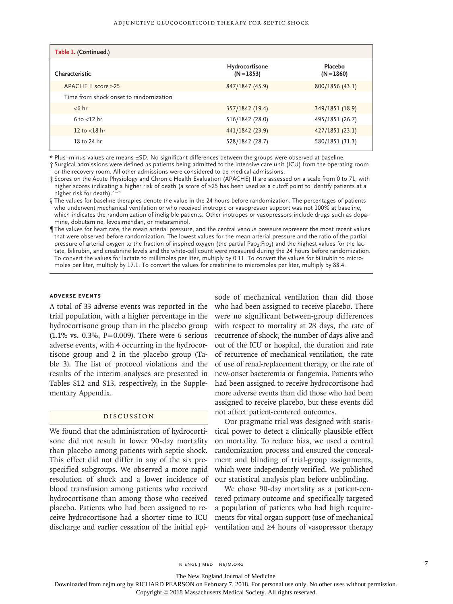| Table 1. (Continued.)                  |                                |                         |
|----------------------------------------|--------------------------------|-------------------------|
| Characteristic                         | Hydrocortisone<br>$(N = 1853)$ | Placebo<br>$(N = 1860)$ |
| APACHE II score > 25                   | 847/1847 (45.9)                | 800/1856 (43.1)         |
| Time from shock onset to randomization |                                |                         |
| $< 6$ hr                               | 357/1842 (19.4)                | 349/1851 (18.9)         |
| $6$ to $<$ 12 hr                       | 516/1842 (28.0)                | 495/1851 (26.7)         |
| 12 to $<$ 18 hr                        | 441/1842 (23.9)                | 427/1851 (23.1)         |
| 18 to 24 hr                            | 528/1842 (28.7)                | 580/1851 (31.3)         |

\* Plus–minus values are means ±SD. No significant differences between the groups were observed at baseline.

† Surgical admissions were defined as patients being admitted to the intensive care unit (ICU) from the operating room or the recovery room. All other admissions were considered to be medical admissions.

‡ Scores on the Acute Physiology and Chronic Health Evaluation (APACHE) II are assessed on a scale from 0 to 71, with higher scores indicating a higher risk of death (a score of ≥25 has been used as a cutoff point to identify patients at a higher risk for death).<sup>23-25</sup>

§ The values for baseline therapies denote the value in the 24 hours before randomization. The percentages of patients who underwent mechanical ventilation or who received inotropic or vasopressor support was not 100% at baseline, which indicates the randomization of ineligible patients. Other inotropes or vasopressors include drugs such as dopamine, dobutamine, levosimendan, or metaraminol.

¶ The values for heart rate, the mean arterial pressure, and the central venous pressure represent the most recent values that were observed before randomization. The lowest values for the mean arterial pressure and the ratio of the partial pressure of arterial oxygen to the fraction of inspired oxygen (the partial Pao<sub>2</sub>:Fio<sub>2</sub>) and the highest values for the lactate, bilirubin, and creatinine levels and the white-cell count were measured during the 24 hours before randomization. To convert the values for lactate to millimoles per liter, multiply by 0.11. To convert the values for bilirubin to micromoles per liter, multiply by 17.1. To convert the values for creatinine to micromoles per liter, multiply by 88.4.

# **Adverse Events**

A total of 33 adverse events was reported in the trial population, with a higher percentage in the hydrocortisone group than in the placebo group  $(1.1\% \text{ vs. } 0.3\%, \text{ P} = 0.009)$ . There were 6 serious adverse events, with 4 occurring in the hydrocortisone group and 2 in the placebo group (Table 3). The list of protocol violations and the results of the interim analyses are presented in Tables S12 and S13, respectively, in the Supplementary Appendix.

# Discussion

We found that the administration of hydrocortisone did not result in lower 90-day mortality than placebo among patients with septic shock. This effect did not differ in any of the six prespecified subgroups. We observed a more rapid resolution of shock and a lower incidence of blood transfusion among patients who received hydrocortisone than among those who received placebo. Patients who had been assigned to receive hydrocortisone had a shorter time to ICU

sode of mechanical ventilation than did those who had been assigned to receive placebo. There were no significant between-group differences with respect to mortality at 28 days, the rate of recurrence of shock, the number of days alive and out of the ICU or hospital, the duration and rate of recurrence of mechanical ventilation, the rate of use of renal-replacement therapy, or the rate of new-onset bacteremia or fungemia. Patients who had been assigned to receive hydrocortisone had more adverse events than did those who had been assigned to receive placebo, but these events did not affect patient-centered outcomes.

Our pragmatic trial was designed with statistical power to detect a clinically plausible effect on mortality. To reduce bias, we used a central randomization process and ensured the concealment and blinding of trial-group assignments, which were independently verified. We published our statistical analysis plan before unblinding.

discharge and earlier cessation of the initial epi-ventilation and ≥4 hours of vasopressor therapy We chose 90-day mortality as a patient-centered primary outcome and specifically targeted a population of patients who had high requirements for vital organ support (use of mechanical

n engl j med nejm.org 7

The New England Journal of Medicine

Downloaded from nejm.org by RICHARD PEARSON on February 7, 2018. For personal use only. No other uses without permission.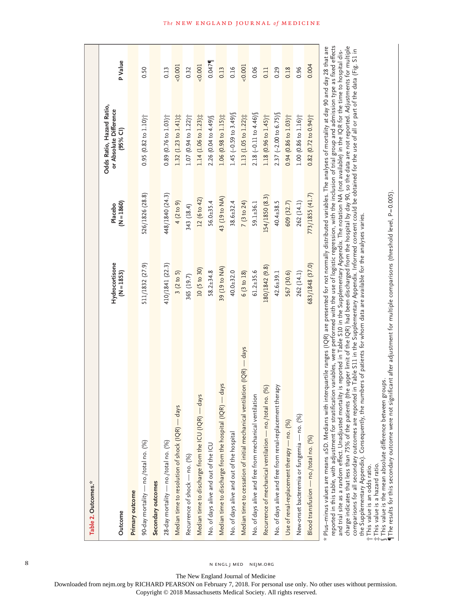| Table 2. Outcomes.*                                                                                                                                                                                                                                                                                                                                                                                                                                                                                                                                                                                                                                                                                                                                                                                                                                                                                                                                                                                                                                                                                    |                                |                         |                                                                 |         |
|--------------------------------------------------------------------------------------------------------------------------------------------------------------------------------------------------------------------------------------------------------------------------------------------------------------------------------------------------------------------------------------------------------------------------------------------------------------------------------------------------------------------------------------------------------------------------------------------------------------------------------------------------------------------------------------------------------------------------------------------------------------------------------------------------------------------------------------------------------------------------------------------------------------------------------------------------------------------------------------------------------------------------------------------------------------------------------------------------------|--------------------------------|-------------------------|-----------------------------------------------------------------|---------|
| Outcome                                                                                                                                                                                                                                                                                                                                                                                                                                                                                                                                                                                                                                                                                                                                                                                                                                                                                                                                                                                                                                                                                                | Hydrocortisone<br>$(N = 1853)$ | $(N = 1860)$<br>Placebo | Odds Ratio, Hazard Ratio,<br>or Absolute Difference<br>(95% CI) | P Value |
| Primary outcome                                                                                                                                                                                                                                                                                                                                                                                                                                                                                                                                                                                                                                                                                                                                                                                                                                                                                                                                                                                                                                                                                        |                                |                         |                                                                 |         |
| 90-day mortality — no./total no. (%)                                                                                                                                                                                                                                                                                                                                                                                                                                                                                                                                                                                                                                                                                                                                                                                                                                                                                                                                                                                                                                                                   | 511/1832 (27.9)                | 526/1826 (28.8)         | $0.95(0.82 \text{ to } 1.10)$                                   | 0.50    |
| Secondary outcomes                                                                                                                                                                                                                                                                                                                                                                                                                                                                                                                                                                                                                                                                                                                                                                                                                                                                                                                                                                                                                                                                                     |                                |                         |                                                                 |         |
| 28-day mortality — no./total no. (%)                                                                                                                                                                                                                                                                                                                                                                                                                                                                                                                                                                                                                                                                                                                                                                                                                                                                                                                                                                                                                                                                   | 410/1841 (22.3)                | 448/1840 (24.3)         | $0.89(0.76 \text{ to } 1.03)$                                   | 0.13    |
| Median time to resolution of shock (IQR) - days                                                                                                                                                                                                                                                                                                                                                                                                                                                                                                                                                                                                                                                                                                                                                                                                                                                                                                                                                                                                                                                        | 3(2 to 5)                      | 4 (2 to 9)              | $1.32$ (1.23 to $1.41$ ) $\ddagger$                             | 0.001   |
| Recurrence of shock - no. (%)                                                                                                                                                                                                                                                                                                                                                                                                                                                                                                                                                                                                                                                                                                                                                                                                                                                                                                                                                                                                                                                                          | 365 (19.7)                     | 343 (18.4)              | $1.07$ (0.94 to $1.22$ ) <sup>+</sup>                           | 0.32    |
| Median time to discharge from the ICU (IQR) — days                                                                                                                                                                                                                                                                                                                                                                                                                                                                                                                                                                                                                                                                                                                                                                                                                                                                                                                                                                                                                                                     | 10 (5 to 30)                   | 12 (6 to 42)            | $1.14$ (1.06 to $1.23$ ) $\ddagger$                             | 0.001   |
| No. of days alive and out of the ICU                                                                                                                                                                                                                                                                                                                                                                                                                                                                                                                                                                                                                                                                                                                                                                                                                                                                                                                                                                                                                                                                   | $58.2 + 34.8$                  | $56.0 \pm 35.4$         | 2.26 (0.04 to 4.49) §                                           | 0.047   |
| $-days$<br>Median time to discharge from the hospital (IQR)                                                                                                                                                                                                                                                                                                                                                                                                                                                                                                                                                                                                                                                                                                                                                                                                                                                                                                                                                                                                                                            | 39 (19 to NA)                  | 43 (19 to NA)           | $1.06$ (0.98 to $1.15$ ) $\ddagger$                             | 0.13    |
| No. of days alive and out of the hospital                                                                                                                                                                                                                                                                                                                                                                                                                                                                                                                                                                                                                                                                                                                                                                                                                                                                                                                                                                                                                                                              | $40.0 + 32.0$                  | $38.6 \pm 32.4$         | 1.45 $(-0.59$ to 3.49)                                          | 0.16    |
| Median time to cessation of initial mechanical ventilation (IQR) — days                                                                                                                                                                                                                                                                                                                                                                                                                                                                                                                                                                                                                                                                                                                                                                                                                                                                                                                                                                                                                                | 6 (3 to 18)                    | 7 (3 to 24)             | 1.13 (1.05 to 1.22) $\ddot{x}$                                  | 0.001   |
| No. of days alive and free from mechanical ventilation                                                                                                                                                                                                                                                                                                                                                                                                                                                                                                                                                                                                                                                                                                                                                                                                                                                                                                                                                                                                                                                 | $61.2 + 35.6$                  | $59.1 + 36.1$           | 2.18 $(-0.11 \text{ to } 4.46)$                                 | 0.06    |
| Recurrence of mechanical ventilation - no./total no. (%)                                                                                                                                                                                                                                                                                                                                                                                                                                                                                                                                                                                                                                                                                                                                                                                                                                                                                                                                                                                                                                               | 180/1842 (9.8)                 | 154/1850 (8.3)          | $1.18$ (0.96 to $1.45$ ) <sup>+</sup>                           | 0.11    |
| No. of days alive and free from renal-replacement therapy                                                                                                                                                                                                                                                                                                                                                                                                                                                                                                                                                                                                                                                                                                                                                                                                                                                                                                                                                                                                                                              | $42.6 \pm 39.1$                | $40.4 \pm 38.5$         | $2.37$ (-2.00 to 6.75) §                                        | 0.29    |
| Use of renal-replacement therapy - no. (%)                                                                                                                                                                                                                                                                                                                                                                                                                                                                                                                                                                                                                                                                                                                                                                                                                                                                                                                                                                                                                                                             | 567 (30.6)                     | 609 (32.7)              | $0.94$ (0.86 to $1.03$ ) $\uparrow$                             | 0.18    |
| New-onset bacteremia or fungemia — no. (%)                                                                                                                                                                                                                                                                                                                                                                                                                                                                                                                                                                                                                                                                                                                                                                                                                                                                                                                                                                                                                                                             | 262 (14.1)                     | 262 (14.1)              | $1.00$ (0.86 to $1.16$ ) <sup>+</sup>                           | 0.96    |
| Blood transfusion — no./total no. (%)                                                                                                                                                                                                                                                                                                                                                                                                                                                                                                                                                                                                                                                                                                                                                                                                                                                                                                                                                                                                                                                                  | 683/1848 (37.0)                | 773/1855 (41.7)         | $0.82$ (0.72 to $0.94$ ) <sup>+</sup>                           | 0.004   |
| reported in this table, with adjustment for stratification variables, were performed with the use of logistic regression, with the inclusion of trial group and admission type as fixed effects<br>charge indicates that less than 75% of the patients (the upper limit of the IQR) had been discharged from the hospital by day 90, so the data are not reported. Adjustments for multiple<br>* Plus–minus values are means ±SD. Medians with interquartile ranges (IQR) are presented for not nomally distributed variables. The analyses of mortality at day 90 and day 28 that are<br>comparisons for all secondary outcomes are reported in Table S11 in the Supplementary Appendix. Informed consent could be obtained for the use of all or part of the data (Fig. S1 in<br>and trial site as a random effect. Unadjusted mortality is reported in Table S10 in the Supplementary Appendix. The notation NA (not available) in the IQR for the time to hospital dis-<br>the Supplementary Appendix). Consequently, the numbers of patients for whom data are available for the analyses varies. |                                |                         |                                                                 |         |

†‡§

This value is the mean absolute difference between groups.

 $\P$ The results for this secondary outcome were not significant after adjustment for multiple comparisons (threshold level, P=0.005).

 This value is an odds ratio. This value is a hazard ratio.

This value is an odds ratio.

8 N ENGL J MED NEJM.ORG

The New England Journal of Medicine

Downloaded from nejm.org by RICHARD PEARSON on February 7, 2018. For personal use only. No other uses without permission.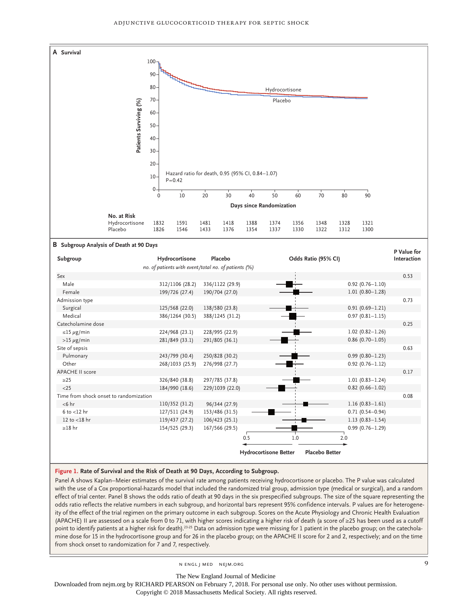

#### **Figure 1. Rate of Survival and the Risk of Death at 90 Days, According to Subgroup.**

Panel A shows Kaplan–Meier estimates of the survival rate among patients receiving hydrocortisone or placebo. The P value was calculated with the use of a Cox proportional-hazards model that included the randomized trial group, admission type (medical or surgical), and a random effect of trial center. Panel B shows the odds ratio of death at 90 days in the six prespecified subgroups. The size of the square representing the odds ratio reflects the relative numbers in each subgroup, and horizontal bars represent 95% confidence intervals. P values are for heterogeneity of the effect of the trial regimen on the primary outcome in each subgroup. Scores on the Acute Physiology and Chronic Health Evaluation (APACHE) II are assessed on a scale from 0 to 71, with higher scores indicating a higher risk of death (a score of ≥25 has been used as a cutoff point to identify patients at a higher risk for death).<sup>23-25</sup> Data on admission type were missing for 1 patient in the placebo group; on the catecholamine dose for 15 in the hydrocortisone group and for 26 in the placebo group; on the APACHE II score for 2 and 2, respectively; and on the time

n engl j med nejm.org 9

The New England Journal of Medicine

Downloaded from nejm.org by RICHARD PEARSON on February 7, 2018. For personal use only. No other uses without permission.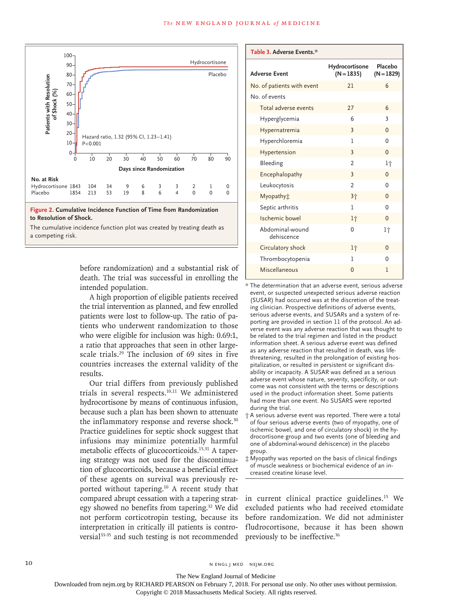

before randomization) and a substantial risk of death. The trial was successful in enrolling the intended population.

A high proportion of eligible patients received the trial intervention as planned, and few enrolled patients were lost to follow-up. The ratio of patients who underwent randomization to those who were eligible for inclusion was high: 0.69:1, a ratio that approaches that seen in other largescale trials.29 The inclusion of 69 sites in five countries increases the external validity of the results.

Our trial differs from previously published trials in several respects.10,11 We administered hydrocortisone by means of continuous infusion, because such a plan has been shown to attenuate the inflammatory response and reverse shock.<sup>30</sup> Practice guidelines for septic shock suggest that infusions may minimize potentially harmful metabolic effects of glucocorticoids.<sup>15,31</sup> A tapering strategy was not used for the discontinuation of glucocorticoids, because a beneficial effect of these agents on survival was previously reported without tapering.10 A recent study that compared abrupt cessation with a tapering strategy showed no benefits from tapering.<sup>32</sup> We did not perform corticotropin testing, because its interpretation in critically ill patients is controversial<sup>33-35</sup> and such testing is not recommended

| Table 3. Adverse Events.*     |                                |                         |
|-------------------------------|--------------------------------|-------------------------|
| <b>Adverse Event</b>          | Hydrocortisone<br>$(N = 1835)$ | Placebo<br>$(N = 1829)$ |
| No. of patients with event    | 21                             | 6                       |
| No. of events                 |                                |                         |
| Total adverse events          | 27                             | 6                       |
| Hyperglycemia                 | 6                              | 3                       |
| Hypernatremia                 | 3                              | $\overline{0}$          |
| Hyperchloremia                | 1                              | $\Omega$                |
| Hypertension                  | 3                              | $\Omega$                |
| Bleeding                      | $\mathfrak{p}$                 | 1†                      |
| Encephalopathy                | 3                              | $\Omega$                |
| Leukocytosis                  | $\overline{2}$                 | $\Omega$                |
| Myopathy <sub>*</sub>         | 3个                             | $\mathbf{0}$            |
| Septic arthritis              | 1                              | 0                       |
| Ischemic bowel                | lΫ                             | $\mathbf{0}$            |
| Abdominal-wound<br>dehiscence | 0                              | ŀŕ                      |
| Circulatory shock             | lΫ                             | $\Omega$                |
| Thrombocytopenia              | 1                              | $\Omega$                |
| Miscellaneous                 | $\mathbf{0}$                   | 1                       |
|                               |                                |                         |

\* The determination that an adverse event, serious adverse event, or suspected unexpected serious adverse reaction (SUSAR) had occurred was at the discretion of the treating clinician. Prospective definitions of adverse events, serious adverse events, and SUSARs and a system of reporting are provided in section 11 of the protocol. An adverse event was any adverse reaction that was thought to be related to the trial regimen and listed in the product information sheet. A serious adverse event was defined as any adverse reaction that resulted in death, was lifethreatening, resulted in the prolongation of existing hospitalization, or resulted in persistent or significant disability or incapacity. A SUSAR was defined as a serious adverse event whose nature, severity, specificity, or outcome was not consistent with the terms or descriptions used in the product information sheet. Some patients had more than one event. No SUSARS were reported during the trial.

- † A serious adverse event was reported. There were a total of four serious adverse events (two of myopathy, one of ischemic bowel, and one of circulatory shock) in the hydrocortisone group and two events (one of bleeding and one of abdominal-wound dehiscence) in the placebo group.
- ‡ Myopathy was reported on the basis of clinical findings of muscle weakness or biochemical evidence of an increased creatine kinase level.

in current clinical practice guidelines.<sup>15</sup> We excluded patients who had received etomidate before randomization. We did not administer fludrocortisone, because it has been shown previously to be ineffective.36

10 N ENGL J MED NEJM.ORG

The New England Journal of Medicine

Downloaded from nejm.org by RICHARD PEARSON on February 7, 2018. For personal use only. No other uses without permission.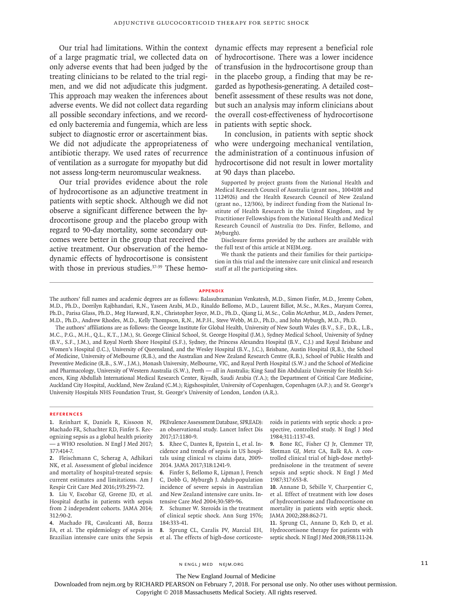Our trial had limitations. Within the context of a large pragmatic trial, we collected data on only adverse events that had been judged by the treating clinicians to be related to the trial regimen, and we did not adjudicate this judgment. This approach may weaken the inferences about adverse events. We did not collect data regarding all possible secondary infections, and we recorded only bacteremia and fungemia, which are less subject to diagnostic error or ascertainment bias. We did not adjudicate the appropriateness of antibiotic therapy. We used rates of recurrence of ventilation as a surrogate for myopathy but did not assess long-term neuromuscular weakness.

Our trial provides evidence about the role of hydrocortisone as an adjunctive treatment in patients with septic shock. Although we did not observe a significant difference between the hydrocortisone group and the placebo group with regard to 90-day mortality, some secondary outcomes were better in the group that received the active treatment. Our observation of the hemodynamic effects of hydrocortisone is consistent with those in previous studies.<sup>37-39</sup> These hemodynamic effects may represent a beneficial role of hydrocortisone. There was a lower incidence of transfusion in the hydrocortisone group than in the placebo group, a finding that may be regarded as hypothesis-generating. A detailed cost– benefit assessment of these results was not done, but such an analysis may inform clinicians about the overall cost-effectiveness of hydrocortisone in patients with septic shock.

In conclusion, in patients with septic shock who were undergoing mechanical ventilation, the administration of a continuous infusion of hydrocortisone did not result in lower mortality at 90 days than placebo.

Supported by project grants from the National Health and Medical Research Council of Australia (grant nos., 1004108 and 1124926) and the Health Research Council of New Zealand (grant no., 12/306), by indirect funding from the National Institute of Health Research in the United Kingdom, and by Practitioner Fellowships from the National Health and Medical Research Council of Australia (to Drs. Finfer, Bellomo, and Myburgh).

Disclosure forms provided by the authors are available with the full text of this article at NEJM.org.

We thank the patients and their families for their participation in this trial and the intensive care unit clinical and research staff at all the participating sites.

#### **Appendix**

The authors' full names and academic degrees are as follows: Balasubramanian Venkatesh, M.D., Simon Finfer, M.D., Jeremy Cohen, M.D., Ph.D., Dorrilyn Rajbhandari, R.N., Yaseen Arabi, M.D., Rinaldo Bellomo, M.D., Laurent Billot, M.Sc., M.Res., Maryam Correa, Ph.D., Parisa Glass, Ph.D., Meg Harward, R.N., Christopher Joyce, M.D., Ph.D., Qiang Li, M.Sc., Colin McArthur, M.D., Anders Perner, M.D., Ph.D., Andrew Rhodes, M.D., Kelly Thompson, R.N., M.P.H., Steve Webb, M.D., Ph.D., and John Myburgh, M.D., Ph.D.

The authors' affiliations are as follows: the George Institute for Global Health, University of New South Wales (B.V., S.F., D.R., L.B., M.C., P.G., M.H., Q.L., K.T., J.M.), St. George Clinical School, St. George Hospital (J.M.), Sydney Medical School, University of Sydney (B.V., S.F., J.M.), and Royal North Shore Hospital (S.F.), Sydney, the Princess Alexandra Hospital (B.V., C.J.) and Royal Brisbane and Women's Hospital (J.C.), University of Queensland, and the Wesley Hospital (B.V., J.C.), Brisbane, Austin Hospital (R.B.), the School of Medicine, University of Melbourne (R.B.), and the Australian and New Zealand Research Centre (R.B.), School of Public Health and Preventive Medicine (R.B., S.W., J.M.), Monash University, Melbourne, VIC, and Royal Perth Hospital (S.W.) and the School of Medicine and Pharmacology, University of Western Australia (S.W.), Perth — all in Australia; King Saud Bin Abdulaziz University for Health Sciences, King Abdullah International Medical Research Center, Riyadh, Saudi Arabia (Y.A.); the Department of Critical Care Medicine, Auckland City Hospital, Auckland, New Zealand (C.M.); Rigshospitalet, University of Copenhagen, Copenhagen (A.P.); and St. George's University Hospitals NHS Foundation Trust, St. George's University of London, London (A.R.).

## **References**

**1.** Reinhart K, Daniels R, Kissoon N, Machado FR, Schachter RD, Finfer S. Recognizing sepsis as a global health priority — a WHO resolution. N Engl J Med 2017; 377:414-7.

**2.** Fleischmann C, Scherag A, Adhikari NK, et al. Assessment of global incidence and mortality of hospital-treated sepsis: current estimates and limitations. Am J Respir Crit Care Med 2016;193:259-72.

**3.** Liu V, Escobar GJ, Greene JD, et al. Hospital deaths in patients with sepsis from 2 independent cohorts. JAMA 2014; 312:90-2.

**4.** Machado FR, Cavalcanti AB, Bozza FA, et al. The epidemiology of sepsis in Brazilian intensive care units (the Sepsis PREvalence Assessment Database, SPREAD): an observational study. Lancet Infect Dis 2017;17:1180-9.

**5.** Rhee C, Dantes R, Epstein L, et al. Incidence and trends of sepsis in US hospitals using clinical vs claims data, 2009- 2014. JAMA 2017;318:1241-9.

**6.** Finfer S, Bellomo R, Lipman J, French C, Dobb G, Myburgh J. Adult-population incidence of severe sepsis in Australian and New Zealand intensive care units. Intensive Care Med 2004;30:589-96.

**7.** Schumer W. Steroids in the treatment of clinical septic shock. Ann Surg 1976; 184:333-41.

**8.** Sprung CL, Caralis PV, Marcial EH, et al. The effects of high-dose corticosteroids in patients with septic shock: a prospective, controlled study. N Engl J Med 1984;311:1137-43.

**9.** Bone RC, Fisher CJ Jr, Clemmer TP, Slotman GJ, Metz CA, Balk RA. A controlled clinical trial of high-dose methylprednisolone in the treatment of severe sepsis and septic shock. N Engl J Med 1987;317:653-8.

**10.** Annane D, Sébille V, Charpentier C, et al. Effect of treatment with low doses of hydrocortisone and fludrocortisone on mortality in patients with septic shock. JAMA 2002;288:862-71.

**11.** Sprung CL, Annane D, Keh D, et al. Hydrocortisone therapy for patients with septic shock. N Engl J Med 2008;358:111-24.

n engl j med nejm.org 11

The New England Journal of Medicine

Downloaded from nejm.org by RICHARD PEARSON on February 7, 2018. For personal use only. No other uses without permission.